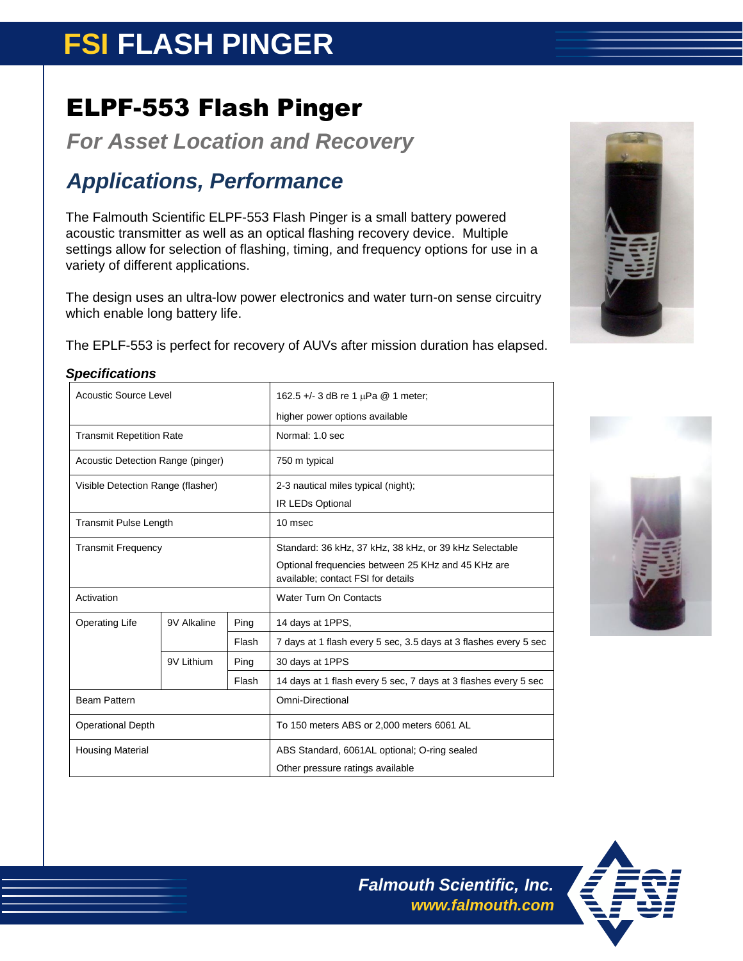# **FSI FLASH PINGER**

## ELPF-553 Flash Pinger

*For Asset Location and Recovery*

### *Applications, Performance*

The Falmouth Scientific ELPF-553 Flash Pinger is a small battery powered acoustic transmitter as well as an optical flashing recovery device. Multiple settings allow for selection of flashing, timing, and frequency options for use in a variety of different applications.

The design uses an ultra-low power electronics and water turn-on sense circuitry which enable long battery life.

The EPLF-553 is perfect for recovery of AUVs after mission duration has elapsed.

| <b>Acoustic Source Level</b>      |             |       | 162.5 +/- 3 dB re 1 $\mu$ Pa @ 1 meter;                                                  |  |
|-----------------------------------|-------------|-------|------------------------------------------------------------------------------------------|--|
|                                   |             |       | higher power options available                                                           |  |
| <b>Transmit Repetition Rate</b>   |             |       | Normal: 1.0 sec                                                                          |  |
| Acoustic Detection Range (pinger) |             |       | 750 m typical                                                                            |  |
| Visible Detection Range (flasher) |             |       | 2-3 nautical miles typical (night);                                                      |  |
|                                   |             |       | IR LEDs Optional                                                                         |  |
| <b>Transmit Pulse Length</b>      |             |       | 10 msec                                                                                  |  |
| <b>Transmit Frequency</b>         |             |       | Standard: 36 kHz, 37 kHz, 38 kHz, or 39 kHz Selectable                                   |  |
|                                   |             |       | Optional frequencies between 25 KHz and 45 KHz are<br>available; contact FSI for details |  |
| Activation                        |             |       | Water Turn On Contacts                                                                   |  |
| <b>Operating Life</b>             | 9V Alkaline | Ping  | 14 days at 1PPS,                                                                         |  |
|                                   |             | Flash | 7 days at 1 flash every 5 sec, 3.5 days at 3 flashes every 5 sec                         |  |
|                                   | 9V Lithium  | Ping  | 30 days at 1PPS                                                                          |  |
|                                   |             | Flash | 14 days at 1 flash every 5 sec, 7 days at 3 flashes every 5 sec                          |  |
| <b>Beam Pattern</b>               |             |       | Omni-Directional                                                                         |  |
| <b>Operational Depth</b>          |             |       | To 150 meters ABS or 2,000 meters 6061 AL                                                |  |
| <b>Housing Material</b>           |             |       | ABS Standard, 6061AL optional; O-ring sealed                                             |  |
|                                   |             |       | Other pressure ratings available                                                         |  |







*Falmouth Scientific, Inc. [www.falmouth.com](http://www.falmouth.com/)*